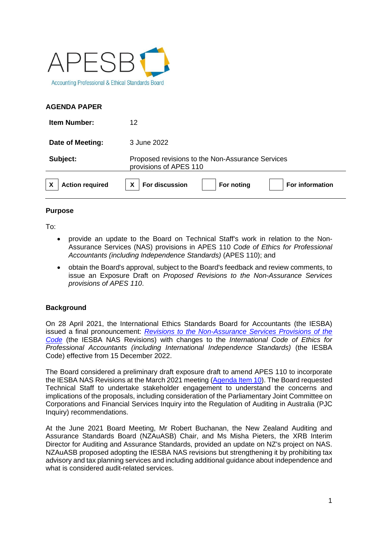

## **AGENDA PAPER**

| <b>Item Number:</b>    | 12                                                                         |
|------------------------|----------------------------------------------------------------------------|
| Date of Meeting:       | 3 June 2022                                                                |
| Subject:               | Proposed revisions to the Non-Assurance Services<br>provisions of APES 110 |
| <b>Action required</b> | For discussion<br>For noting<br>X<br><b>For information</b>                |

### **Purpose**

To:

- provide an update to the Board on Technical Staff's work in relation to the Non-Assurance Services (NAS) provisions in APES 110 *Code of Ethics for Professional Accountants (including Independence Standards)* (APES 110); and
- obtain the Board's approval, subject to the Board's feedback and review comments, to issue an Exposure Draft on *Proposed Revisions to the Non-Assurance Services provisions of APES 110*.

# **Background**

On 28 April 2021, the International Ethics Standards Board for Accountants (the IESBA) issued a final pronouncement: *[Revisions to the Non-Assurance Services Provisions of the](https://www.ifac.org/system/files/publications/files/Final-Pronouncement-Non-Assurance-Services.pdf)  [Code](https://www.ifac.org/system/files/publications/files/Final-Pronouncement-Non-Assurance-Services.pdf)* (the IESBA NAS Revisions) with changes to the *International Code of Ethics for Professional Accountants (including International Independence Standards)* (the IESBA Code) effective from 15 December 2022.

The Board considered a preliminary draft exposure draft to amend APES 110 to incorporate the IESBA NAS Revisions at the March 2021 meeting [\(Agenda Item 10\)](https://apesb.org.au/wp-content/uploads/2021/02/Agenda_Item_10_Proposed_Revisions_to_APES_110_Non_Assurance_Services.pdf). The Board requested Technical Staff to undertake stakeholder engagement to understand the concerns and implications of the proposals, including consideration of the Parliamentary Joint Committee on Corporations and Financial Services Inquiry into the Regulation of Auditing in Australia (PJC Inquiry) recommendations.

At the June 2021 Board Meeting, Mr Robert Buchanan, the New Zealand Auditing and Assurance Standards Board (NZAuASB) Chair, and Ms Misha Pieters, the XRB Interim Director for Auditing and Assurance Standards, provided an update on NZ's project on NAS. NZAuASB proposed adopting the IESBA NAS revisions but strengthening it by prohibiting tax advisory and tax planning services and including additional guidance about independence and what is considered audit-related services.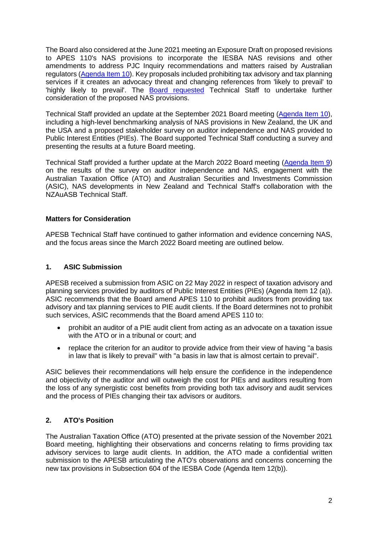The Board also considered at the June 2021 meeting an Exposure Draft on proposed revisions to APES 110's NAS provisions to incorporate the IESBA NAS revisions and other amendments to address PJC Inquiry recommendations and matters raised by Australian regulators [\(Agenda Item 10\)](https://apesb.org.au/wp-content/uploads/2021/06/Agenda_Item_10_Proposed_Revisions_to_APES_110_NAS.pdf). Key proposals included prohibiting tax advisory and tax planning services if it creates an advocacy threat and changing references from 'likely to prevail' to 'highly likely to prevail'. The [Board requested](https://apesb.org.au/wp-content/uploads/2021/06/Highlights_BM107_10_June_2021.pdf) Technical Staff to undertake further consideration of the proposed NAS provisions.

Technical Staff provided an update at the September 2021 Board meeting [\(Agenda Item 10\)](https://apesb.org.au/wp-content/uploads/2021/09/Agenda_Item_10_Project_Update_Non_Assurance_Services.pdf), including a high-level benchmarking analysis of NAS provisions in New Zealand, the UK and the USA and a proposed stakeholder survey on auditor independence and NAS provided to Public Interest Entities (PIEs). The Board supported Technical Staff conducting a survey and presenting the results at a future Board meeting.

Technical Staff provided a further update at the March 2022 Board meeting [\(Agenda Item 9\)](https://apesb.org.au/wp-content/uploads/2022/03/Agenda_Item_9_Project_Update_Non_Assurance_Services.pdf) on the results of the survey on auditor independence and NAS, engagement with the Australian Taxation Office (ATO) and Australian Securities and Investments Commission (ASIC), NAS developments in New Zealand and Technical Staff's collaboration with the NZAuASB Technical Staff.

## **Matters for Consideration**

APESB Technical Staff have continued to gather information and evidence concerning NAS, and the focus areas since the March 2022 Board meeting are outlined below.

## **1. ASIC Submission**

APESB received a submission from ASIC on 22 May 2022 in respect of taxation advisory and planning services provided by auditors of Public Interest Entities (PIEs) (Agenda Item 12 (a)). ASIC recommends that the Board amend APES 110 to prohibit auditors from providing tax advisory and tax planning services to PIE audit clients. If the Board determines not to prohibit such services, ASIC recommends that the Board amend APES 110 to:

- prohibit an auditor of a PIE audit client from acting as an advocate on a taxation issue with the ATO or in a tribunal or court; and
- replace the criterion for an auditor to provide advice from their view of having "a basis in law that is likely to prevail" with "a basis in law that is almost certain to prevail".

ASIC believes their recommendations will help ensure the confidence in the independence and objectivity of the auditor and will outweigh the cost for PIEs and auditors resulting from the loss of any synergistic cost benefits from providing both tax advisory and audit services and the process of PIEs changing their tax advisors or auditors.

# **2. ATO's Position**

The Australian Taxation Office (ATO) presented at the private session of the November 2021 Board meeting, highlighting their observations and concerns relating to firms providing tax advisory services to large audit clients. In addition, the ATO made a confidential written submission to the APESB articulating the ATO's observations and concerns concerning the new tax provisions in Subsection 604 of the IESBA Code (Agenda Item 12(b)).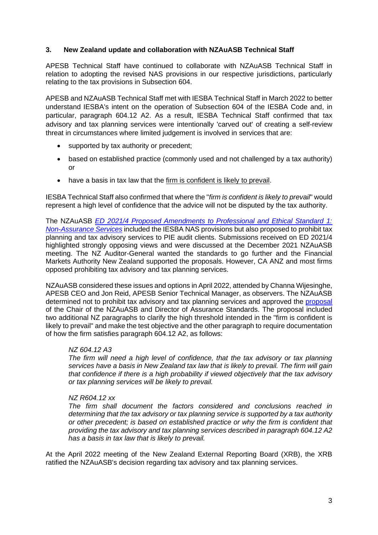### **3. New Zealand update and collaboration with NZAuASB Technical Staff**

APESB Technical Staff have continued to collaborate with NZAuASB Technical Staff in relation to adopting the revised NAS provisions in our respective jurisdictions, particularly relating to the tax provisions in Subsection 604.

APESB and NZAuASB Technical Staff met with IESBA Technical Staff in March 2022 to better understand IESBA's intent on the operation of Subsection 604 of the IESBA Code and, in particular, paragraph 604.12 A2. As a result, IESBA Technical Staff confirmed that tax advisory and tax planning services were intentionally 'carved out' of creating a self-review threat in circumstances where limited judgement is involved in services that are:

- supported by tax authority or precedent;
- based on established practice (commonly used and not challenged by a tax authority) or
- have a basis in tax law that the firm is confident is likely to prevail.

IESBA Technical Staff also confirmed that where the "*firm is confident is likely to prevail*" would represent a high level of confidence that the advice will not be disputed by the tax authority.

The NZAuASB *[ED 2021/4 Proposed Amendments to Professional and Ethical Standard 1:](https://www.xrb.govt.nz/consultations/assurance-standards-in-development/closed-for-comment/nzauasb-ed-20214/)  [Non-Assurance Services](https://www.xrb.govt.nz/consultations/assurance-standards-in-development/closed-for-comment/nzauasb-ed-20214/)* included the IESBA NAS provisions but also proposed to prohibit tax planning and tax advisory services to PIE audit clients. Submissions received on ED 2021/4 highlighted strongly opposing views and were discussed at the December 2021 NZAuASB meeting. The NZ Auditor-General wanted the standards to go further and the Financial Markets Authority New Zealand supported the proposals. However, CA ANZ and most firms opposed prohibiting tax advisory and tax planning services.

NZAuASB considered these issues and options in April 2022, attended by Channa Wijesinghe, APESB CEO and Jon Reid, APESB Senior Technical Manager, as observers. The NZAuASB determined not to prohibit tax advisory and tax planning services and approved the [proposal](file:///C:/Users/JonReid/Downloads/NZAuASB%20Public%20Session%20Meeting%20Papers%2007%2004%202022%20(3).pdf#page=11) of the Chair of the NZAuASB and Director of Assurance Standards. The proposal included two additional NZ paragraphs to clarify the high threshold intended in the "firm is confident is likely to prevail" and make the test objective and the other paragraph to require documentation of how the firm satisfies paragraph 604.12 A2, as follows:

### *NZ 604.12 A3*

*The firm will need a high level of confidence, that the tax advisory or tax planning services have a basis in New Zealand tax law that is likely to prevail. The firm will gain that confidence if there is a high probability if viewed objectively that the tax advisory or tax planning services will be likely to prevail.*

### *NZ R604.12 xx*

*The firm shall document the factors considered and conclusions reached in determining that the tax advisory or tax planning service is supported by a tax authority or other precedent; is based on established practice or why the firm is confident that providing the tax advisory and tax planning services described in paragraph 604.12 A2 has a basis in tax law that is likely to prevail.*

At the April 2022 meeting of the New Zealand External Reporting Board (XRB), the XRB ratified the NZAuASB's decision regarding tax advisory and tax planning services.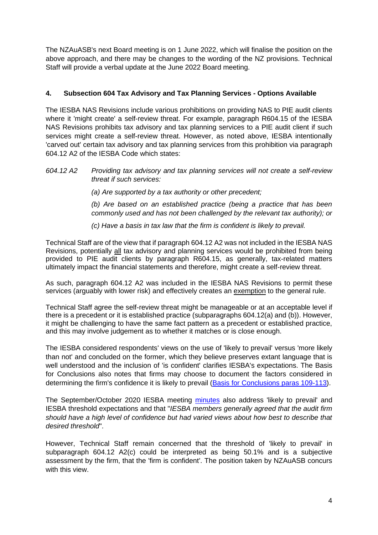The NZAuASB's next Board meeting is on 1 June 2022, which will finalise the position on the above approach, and there may be changes to the wording of the NZ provisions. Technical Staff will provide a verbal update at the June 2022 Board meeting.

# **4. Subsection 604 Tax Advisory and Tax Planning Services - Options Available**

The IESBA NAS Revisions include various prohibitions on providing NAS to PIE audit clients where it 'might create' a self-review threat. For example, paragraph R604.15 of the IESBA NAS Revisions prohibits tax advisory and tax planning services to a PIE audit client if such services might create a self-review threat. However, as noted above, IESBA intentionally 'carved out' certain tax advisory and tax planning services from this prohibition via paragraph 604.12 A2 of the IESBA Code which states:

### *604.12 A2 Providing tax advisory and tax planning services will not create a self-review threat if such services:*

*(a) Are supported by a tax authority or other precedent;*

*(b) Are based on an established practice (being a practice that has been commonly used and has not been challenged by the relevant tax authority); or*

*(c) Have a basis in tax law that the firm is confident is likely to prevail.*

Technical Staff are of the view that if paragraph 604.12 A2 was not included in the IESBA NAS Revisions, potentially all tax advisory and planning services would be prohibited from being provided to PIE audit clients by paragraph R604.15, as generally, tax-related matters ultimately impact the financial statements and therefore, might create a self-review threat.

As such, paragraph 604.12 A2 was included in the IESBA NAS Revisions to permit these services (arguably with lower risk) and effectively creates an exemption to the general rule.

Technical Staff agree the self-review threat might be manageable or at an acceptable level if there is a precedent or it is established practice (subparagraphs 604.12(a) and (b)). However, it might be challenging to have the same fact pattern as a precedent or established practice, and this may involve judgement as to whether it matches or is close enough.

The IESBA considered respondents' views on the use of 'likely to prevail' versus 'more likely than not' and concluded on the former, which they believe preserves extant language that is well understood and the inclusion of 'is confident' clarifies IESBA's expectations. The Basis for Conclusions also notes that firms may choose to document the factors considered in determining the firm's confidence it is likely to prevail [\(Basis for Conclusions paras 109-113\)](https://www.ifac.org/system/files/publications/files/Basis-for-Conclusions-Non-Assurance-Services.pdf#page=28).

The September/October 2020 IESBA meeting [minutes](https://www.ifac.org/system/files/meetings/files/20200914-IESBA-Final-Minutes-of-September-October-2020-Meeting.pdf) also address 'likely to prevail' and IESBA threshold expectations and that "*IESBA members generally agreed that the audit firm should have a high level of confidence but had varied views about how best to describe that desired threshold*".

However, Technical Staff remain concerned that the threshold of 'likely to prevail' in subparagraph 604.12 A2(c) could be interpreted as being 50.1% and is a subjective assessment by the firm, that the 'firm is confident'. The position taken by NZAuASB concurs with this view.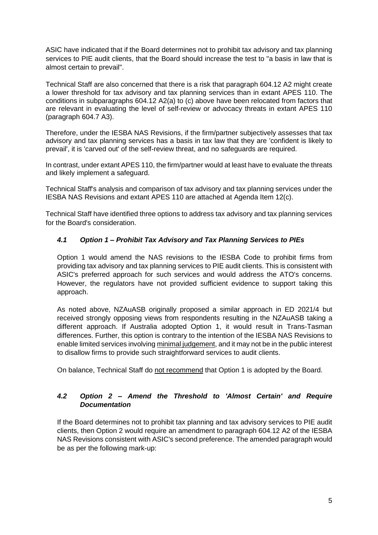ASIC have indicated that if the Board determines not to prohibit tax advisory and tax planning services to PIE audit clients, that the Board should increase the test to "a basis in law that is almost certain to prevail".

Technical Staff are also concerned that there is a risk that paragraph 604.12 A2 might create a lower threshold for tax advisory and tax planning services than in extant APES 110. The conditions in subparagraphs 604.12 A2(a) to (c) above have been relocated from factors that are relevant in evaluating the level of self-review or advocacy threats in extant APES 110 (paragraph 604.7 A3).

Therefore, under the IESBA NAS Revisions, if the firm/partner subjectively assesses that tax advisory and tax planning services has a basis in tax law that they are 'confident is likely to prevail', it is 'carved out' of the self-review threat, and no safeguards are required.

In contrast, under extant APES 110, the firm/partner would at least have to evaluate the threats and likely implement a safeguard.

Technical Staff's analysis and comparison of tax advisory and tax planning services under the IESBA NAS Revisions and extant APES 110 are attached at Agenda Item 12(c).

Technical Staff have identified three options to address tax advisory and tax planning services for the Board's consideration.

# *4.1 Option 1 – Prohibit Tax Advisory and Tax Planning Services to PIEs*

Option 1 would amend the NAS revisions to the IESBA Code to prohibit firms from providing tax advisory and tax planning services to PIE audit clients. This is consistent with ASIC's preferred approach for such services and would address the ATO's concerns. However, the regulators have not provided sufficient evidence to support taking this approach.

As noted above, NZAuASB originally proposed a similar approach in ED 2021/4 but received strongly opposing views from respondents resulting in the NZAuASB taking a different approach. If Australia adopted Option 1, it would result in Trans-Tasman differences. Further, this option is contrary to the intention of the IESBA NAS Revisions to enable limited services involving minimal judgement, and it may not be in the public interest to disallow firms to provide such straightforward services to audit clients.

On balance, Technical Staff do not recommend that Option 1 is adopted by the Board.

# *4.2 Option 2 – Amend the Threshold to 'Almost Certain' and Require Documentation*

If the Board determines not to prohibit tax planning and tax advisory services to PIE audit clients, then Option 2 would require an amendment to paragraph 604.12 A2 of the IESBA NAS Revisions consistent with ASIC's second preference. The amended paragraph would be as per the following mark-up: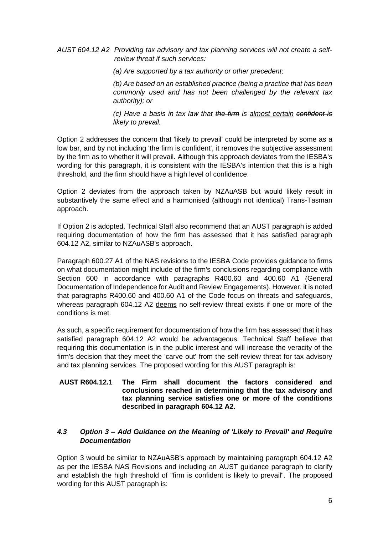*AUST 604.12 A2 Providing tax advisory and tax planning services will not create a selfreview threat if such services:*

*(a) Are supported by a tax authority or other precedent;*

*(b) Are based on an established practice (being a practice that has been commonly used and has not been challenged by the relevant tax authority); or*

*(c) Have a basis in tax law that the firm is almost certain confident is likely to prevail.*

Option 2 addresses the concern that 'likely to prevail' could be interpreted by some as a low bar, and by not including 'the firm is confident', it removes the subjective assessment by the firm as to whether it will prevail. Although this approach deviates from the IESBA's wording for this paragraph, it is consistent with the IESBA's intention that this is a high threshold, and the firm should have a high level of confidence.

Option 2 deviates from the approach taken by NZAuASB but would likely result in substantively the same effect and a harmonised (although not identical) Trans-Tasman approach.

If Option 2 is adopted, Technical Staff also recommend that an AUST paragraph is added requiring documentation of how the firm has assessed that it has satisfied paragraph 604.12 A2, similar to NZAuASB's approach.

Paragraph 600.27 A1 of the NAS revisions to the IESBA Code provides guidance to firms on what documentation might include of the firm's conclusions regarding compliance with Section 600 in accordance with paragraphs R400.60 and 400.60 A1 (General Documentation of Independence for Audit and Review Engagements). However, it is noted that paragraphs R400.60 and 400.60 A1 of the Code focus on threats and safeguards, whereas paragraph 604.12 A2 deems no self-review threat exists if one or more of the conditions is met.

As such, a specific requirement for documentation of how the firm has assessed that it has satisfied paragraph 604.12 A2 would be advantageous. Technical Staff believe that requiring this documentation is in the public interest and will increase the veracity of the firm's decision that they meet the 'carve out' from the self-review threat for tax advisory and tax planning services. The proposed wording for this AUST paragraph is:

#### **AUST R604.12.1 The Firm shall document the factors considered and conclusions reached in determining that the tax advisory and tax planning service satisfies one or more of the conditions described in paragraph 604.12 A2.**

## *4.3 Option 3 – Add Guidance on the Meaning of 'Likely to Prevail' and Require Documentation*

Option 3 would be similar to NZAuASB's approach by maintaining paragraph 604.12 A2 as per the IESBA NAS Revisions and including an AUST guidance paragraph to clarify and establish the high threshold of "firm is confident is likely to prevail". The proposed wording for this AUST paragraph is: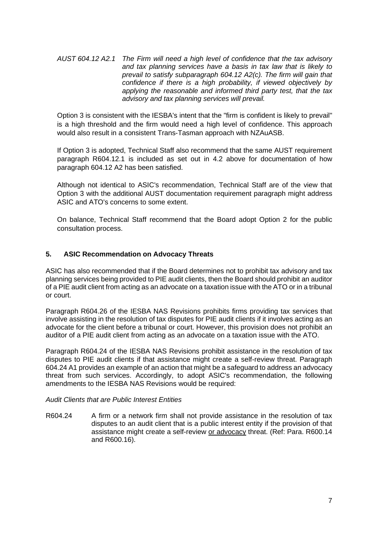*AUST 604.12 A2.1 The Firm will need a high level of confidence that the tax advisory and tax planning services have a basis in tax law that is likely to prevail to satisfy subparagraph 604.12 A2(c). The firm will gain that confidence if there is a high probability, if viewed objectively by applying the reasonable and informed third party test, that the tax advisory and tax planning services will prevail.*

Option 3 is consistent with the IESBA's intent that the "firm is confident is likely to prevail" is a high threshold and the firm would need a high level of confidence. This approach would also result in a consistent Trans-Tasman approach with NZAuASB.

If Option 3 is adopted, Technical Staff also recommend that the same AUST requirement paragraph R604.12.1 is included as set out in 4.2 above for documentation of how paragraph 604.12 A2 has been satisfied.

Although not identical to ASIC's recommendation, Technical Staff are of the view that Option 3 with the additional AUST documentation requirement paragraph might address ASIC and ATO's concerns to some extent.

On balance, Technical Staff recommend that the Board adopt Option 2 for the public consultation process.

# **5. ASIC Recommendation on Advocacy Threats**

ASIC has also recommended that if the Board determines not to prohibit tax advisory and tax planning services being provided to PIE audit clients, then the Board should prohibit an auditor of a PIE audit client from acting as an advocate on a taxation issue with the ATO or in a tribunal or court.

Paragraph R604.26 of the IESBA NAS Revisions prohibits firms providing tax services that involve assisting in the resolution of tax disputes for PIE audit clients if it involves acting as an advocate for the client before a tribunal or court. However, this provision does not prohibit an auditor of a PIE audit client from acting as an advocate on a taxation issue with the ATO.

Paragraph R604.24 of the IESBA NAS Revisions prohibit assistance in the resolution of tax disputes to PIE audit clients if that assistance might create a self-review threat. Paragraph 604.24 A1 provides an example of an action that might be a safeguard to address an advocacy threat from such services. Accordingly, to adopt ASIC's recommendation, the following amendments to the IESBA NAS Revisions would be required:

### *Audit Clients that are Public Interest Entities*

R604.24 A firm or a network firm shall not provide assistance in the resolution of tax disputes to an audit client that is a public interest entity if the provision of that assistance might create a self-review or advocacy threat. (Ref: Para. R600.14 and R600.16).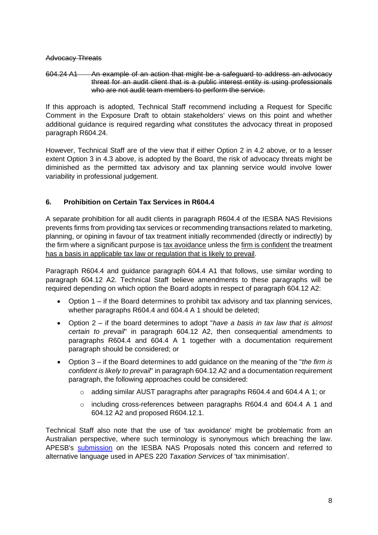### Advocacy Threats

### 604.24 A1 An example of an action that might be a safeguard to address an advocacy threat for an audit client that is a public interest entity is using professionals who are not audit team members to perform the service.

If this approach is adopted, Technical Staff recommend including a Request for Specific Comment in the Exposure Draft to obtain stakeholders' views on this point and whether additional guidance is required regarding what constitutes the advocacy threat in proposed paragraph R604.24.

However, Technical Staff are of the view that if either Option 2 in 4.2 above, or to a lesser extent Option 3 in 4.3 above, is adopted by the Board, the risk of advocacy threats might be diminished as the permitted tax advisory and tax planning service would involve lower variability in professional judgement.

# **6. Prohibition on Certain Tax Services in R604.4**

A separate prohibition for all audit clients in paragraph R604.4 of the IESBA NAS Revisions prevents firms from providing tax services or recommending transactions related to marketing, planning, or opining in favour of tax treatment initially recommended (directly or indirectly) by the firm where a significant purpose is tax avoidance unless the firm is confident the treatment has a basis in applicable tax law or regulation that is likely to prevail.

Paragraph R604.4 and guidance paragraph 604.4 A1 that follows, use similar wording to paragraph 604.12 A2. Technical Staff believe amendments to these paragraphs will be required depending on which option the Board adopts in respect of paragraph 604.12 A2:

- Option 1 if the Board determines to prohibit tax advisory and tax planning services, whether paragraphs R604.4 and 604.4 A 1 should be deleted;
- Option 2 if the board determines to adopt "*have a basis in tax law that is almost certain to prevail*" in paragraph 604.12 A2, then consequential amendments to paragraphs R604.4 and 604.4 A 1 together with a documentation requirement paragraph should be considered; or
- Option 3 if the Board determines to add guidance on the meaning of the "*the firm is confident is likely to prevail*" in paragraph 604.12 A2 and a documentation requirement paragraph, the following approaches could be considered:
	- o adding similar AUST paragraphs after paragraphs R604.4 and 604.4 A 1; or
	- o including cross-references between paragraphs R604.4 and 604.4 A 1 and 604.12 A2 and proposed R604.12.1.

Technical Staff also note that the use of 'tax avoidance' might be problematic from an Australian perspective, where such terminology is synonymous which breaching the law. APESB's [submission](https://apesb.org.au/wp-content/uploads/2020/06/APESB_Submission_IESBA_NAS_ED_6_June_2020.pdf#page=12) on the IESBA NAS Proposals noted this concern and referred to alternative language used in APES 220 *Taxation Services* of 'tax minimisation'.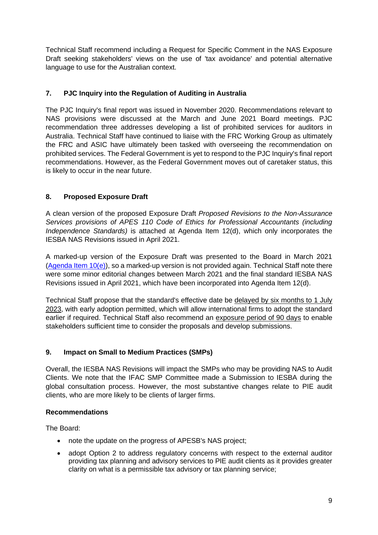Technical Staff recommend including a Request for Specific Comment in the NAS Exposure Draft seeking stakeholders' views on the use of 'tax avoidance' and potential alternative language to use for the Australian context.

# **7. PJC Inquiry into the Regulation of Auditing in Australia**

The PJC Inquiry's final report was issued in November 2020. Recommendations relevant to NAS provisions were discussed at the March and June 2021 Board meetings. PJC recommendation three addresses developing a list of prohibited services for auditors in Australia. Technical Staff have continued to liaise with the FRC Working Group as ultimately the FRC and ASIC have ultimately been tasked with overseeing the recommendation on prohibited services. The Federal Government is yet to respond to the PJC Inquiry's final report recommendations. However, as the Federal Government moves out of caretaker status, this is likely to occur in the near future.

# **8. Proposed Exposure Draft**

A clean version of the proposed Exposure Draft *Proposed Revisions to the Non-Assurance Services provisions of APES 110 Code of Ethics for Professional Accountants (including Independence Standards)* is attached at Agenda Item 12(d), which only incorporates the IESBA NAS Revisions issued in April 2021.

A marked-up version of the Exposure Draft was presented to the Board in March 2021 (Agenda Item  $10(e)$ ), so a marked-up version is not provided again. Technical Staff note there were some minor editorial changes between March 2021 and the final standard IESBA NAS Revisions issued in April 2021, which have been incorporated into Agenda Item 12(d).

Technical Staff propose that the standard's effective date be delayed by six months to 1 July 2023, with early adoption permitted, which will allow international firms to adopt the standard earlier if required. Technical Staff also recommend an exposure period of 90 days to enable stakeholders sufficient time to consider the proposals and develop submissions.

# **9. Impact on Small to Medium Practices (SMPs)**

Overall, the IESBA NAS Revisions will impact the SMPs who may be providing NAS to Audit Clients. We note that the IFAC SMP Committee made a Submission to IESBA during the global consultation process. However, the most substantive changes relate to PIE audit clients, who are more likely to be clients of larger firms.

# **Recommendations**

The Board:

- note the update on the progress of APESB's NAS project;
- adopt Option 2 to address regulatory concerns with respect to the external auditor providing tax planning and advisory services to PIE audit clients as it provides greater clarity on what is a permissible tax advisory or tax planning service;